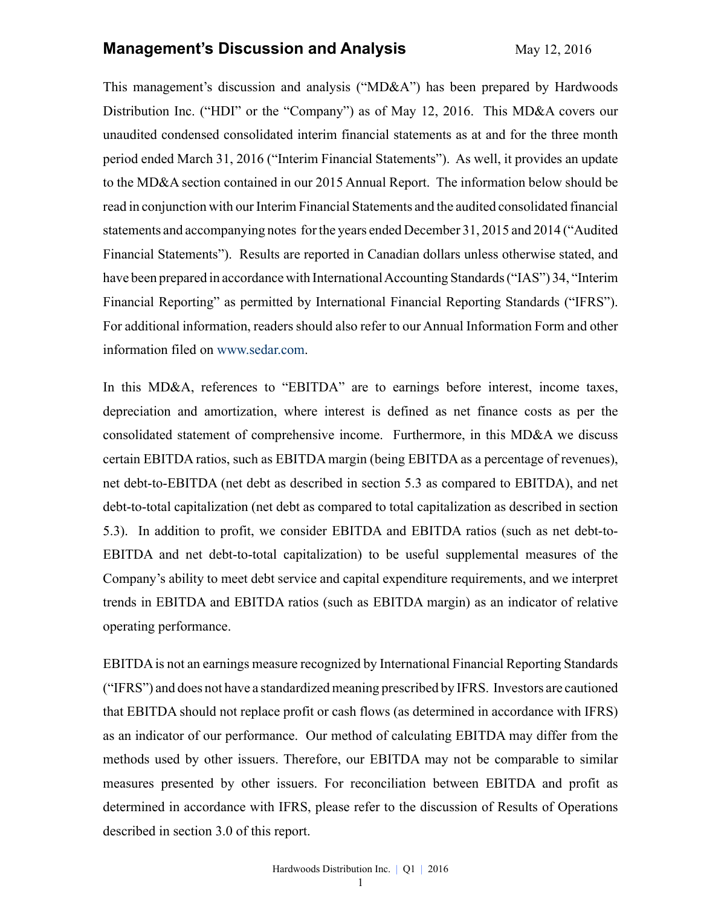#### **Management's Discussion and Analysis** May 12, 2016

This management's discussion and analysis ("MD&A") has been prepared by Hardwoods Distribution Inc. ("HDI" or the "Company") as of May 12, 2016. This MD&A covers our unaudited condensed consolidated interim financial statements as at and for the three month period ended March 31, 2016 ("Interim Financial Statements"). As well, it provides an update to the MD&A section contained in our 2015 Annual Report. The information below should be read in conjunction with our Interim Financial Statements and the audited consolidated financial statements and accompanying notes for the years ended December 31, 2015 and 2014 ("Audited Financial Statements"). Results are reported in Canadian dollars unless otherwise stated, and have been prepared in accordance with International Accounting Standards ("IAS") 34, "Interim Financial Reporting" as permitted by International Financial Reporting Standards ("IFRS"). For additional information, readers should also refer to our Annual Information Form and other information filed on www.sedar.com.

In this MD&A, references to "EBITDA" are to earnings before interest, income taxes, depreciation and amortization, where interest is defined as net finance costs as per the consolidated statement of comprehensive income. Furthermore, in this MD&A we discuss certain EBITDA ratios, such as EBITDA margin (being EBITDA as a percentage of revenues), net debt-to-EBITDA (net debt as described in section 5.3 as compared to EBITDA), and net debt-to-total capitalization (net debt as compared to total capitalization as described in section 5.3). In addition to profit, we consider EBITDA and EBITDA ratios (such as net debt-to-EBITDA and net debt-to-total capitalization) to be useful supplemental measures of the Company's ability to meet debt service and capital expenditure requirements, and we interpret trends in EBITDA and EBITDA ratios (such as EBITDA margin) as an indicator of relative operating performance.

EBITDAis not an earnings measure recognized by International Financial Reporting Standards ("IFRS") and does not have a standardized meaning prescribed by IFRS. Investors are cautioned that EBITDA should not replace profit or cash flows (as determined in accordance with IFRS) as an indicator of our performance. Our method of calculating EBITDA may differ from the methods used by other issuers. Therefore, our EBITDA may not be comparable to similar measures presented by other issuers. For reconciliation between EBITDA and profit as determined in accordance with IFRS, please refer to the discussion of Results of Operations described in section 3.0 of this report.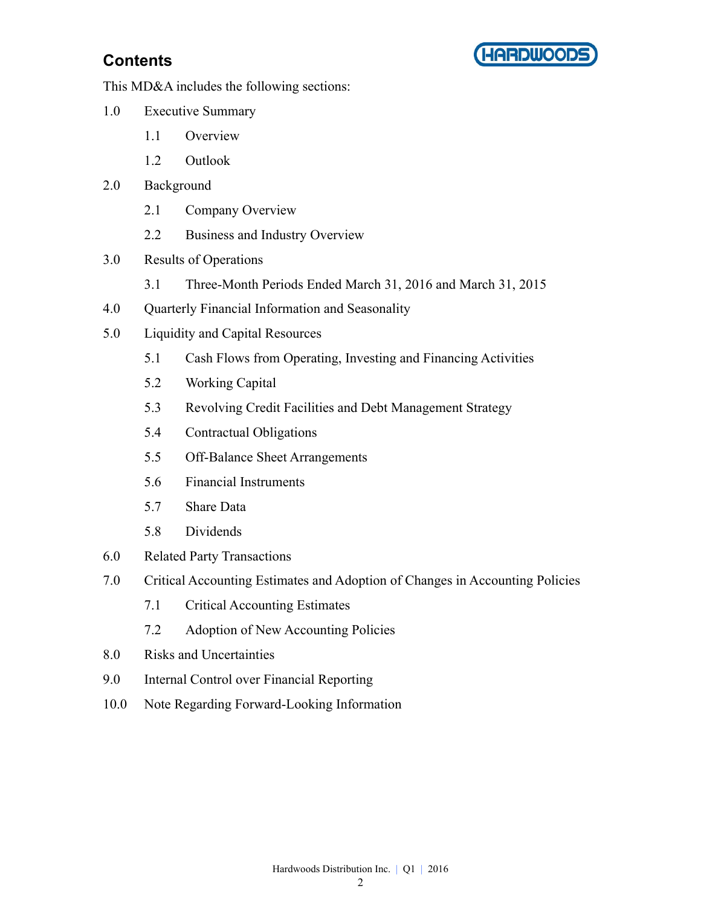



This MD&A includes the following sections:

- 1.0 Executive Summary
	- 1.1 Overview
	- 1.2 Outlook
- 2.0 Background
	- 2.1 Company Overview
	- 2.2 Business and Industry Overview
- 3.0 Results of Operations
	- 3.1 Three-Month Periods Ended March 31, 2016 and March 31, 2015
- 4.0 Quarterly Financial Information and Seasonality
- 5.0 Liquidity and Capital Resources
	- 5.1 Cash Flows from Operating, Investing and Financing Activities
	- 5.2 Working Capital
	- 5.3 Revolving Credit Facilities and Debt Management Strategy
	- 5.4 Contractual Obligations
	- 5.5 Off-Balance Sheet Arrangements
	- 5.6 Financial Instruments
	- 5.7 Share Data
	- 5.8 Dividends
- 6.0 Related Party Transactions
- 7.0 Critical Accounting Estimates and Adoption of Changes in Accounting Policies
	- 7.1 Critical Accounting Estimates
	- 7.2 Adoption of New Accounting Policies
- 8.0 Risks and Uncertainties
- 9.0 Internal Control over Financial Reporting
- 10.0 Note Regarding Forward-Looking Information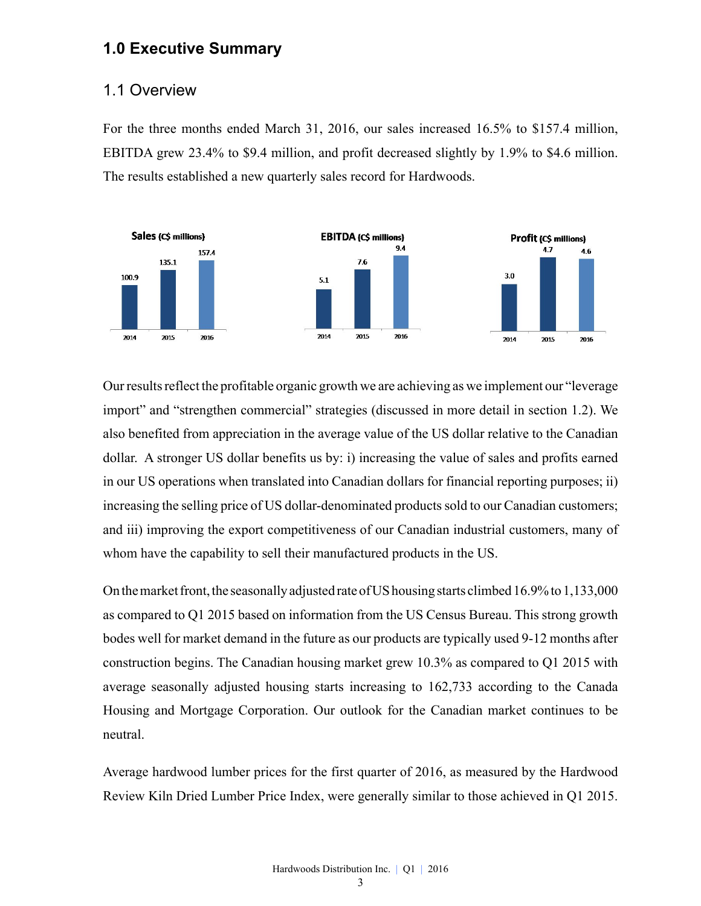### **1.0 Executive Summary**

#### 1.1 Overview

For the three months ended March 31, 2016, our sales increased 16.5% to \$157.4 million, EBITDA grew 23.4% to \$9.4 million, and profit decreased slightly by 1.9% to \$4.6 million. The results established a new quarterly sales record for Hardwoods.



Our results reflect the profitable organic growth we are achieving as we implement our "leverage import" and "strengthen commercial" strategies (discussed in more detail in section 1.2). We also benefited from appreciation in the average value of the US dollar relative to the Canadian dollar. A stronger US dollar benefits us by: i) increasing the value of sales and profits earned in our US operations when translated into Canadian dollars for financial reporting purposes; ii) increasing the selling price of US dollar-denominated products sold to our Canadian customers; and iii) improving the export competitiveness of our Canadian industrial customers, many of whom have the capability to sell their manufactured products in the US.

On the market front, the seasonally adjusted rate of US housing starts climbed 16.9% to 1,133,000 as compared to Q1 2015 based on information from the US Census Bureau. This strong growth bodes well for market demand in the future as our products are typically used 9-12 months after construction begins. The Canadian housing market grew 10.3% as compared to Q1 2015 with average seasonally adjusted housing starts increasing to 162,733 according to the Canada Housing and Mortgage Corporation. Our outlook for the Canadian market continues to be neutral.

Average hardwood lumber prices for the first quarter of 2016, as measured by the Hardwood Review Kiln Dried Lumber Price Index, were generally similar to those achieved in Q1 2015.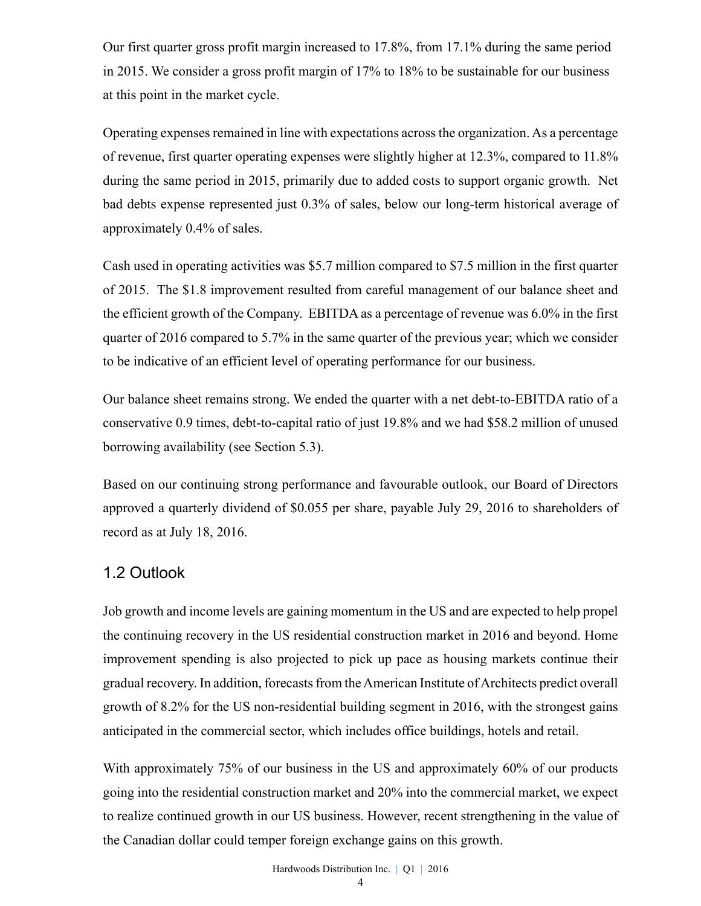Our first quarter gross profit margin increased to 17.8%, from 17.1% during the same period in 2015. We consider a gross profit margin of 17% to 18% to be sustainable for our business at this point in the market cycle.

Operating expenses remained in line with expectations across the organization. As a percentage of revenue, first quarter operating expenses were slightly higher at 12.3%, compared to 11.8% during the same period in 2015, primarily due to added costs to support organic growth. Net bad debts expense represented just 0.3% of sales, below our long-term historical average of approximately 0.4% of sales.

Cash used in operating activities was \$5.7 million compared to \$7.5 million in the first quarter of 2015. The \$1.8 improvement resulted from careful management of our balance sheet and the efficient growth of the Company. EBITDA as a percentage of revenue was 6.0% in the first quarter of 2016 compared to 5.7% in the same quarter of the previous year; which we consider to be indicative of an efficient level of operating performance for our business.

Our balance sheet remains strong. We ended the quarter with a net debt-to-EBITDA ratio of a conservative 0.9 times, debt-to-capital ratio of just 19.8% and we had \$58.2 million of unused borrowing availability (see Section 5.3).

Based on our continuing strong performance and favourable outlook, our Board of Directors approved a quarterly dividend of \$0.055 per share, payable July 29, 2016 to shareholders of record as at July 18, 2016.

### 1.2 Outlook

Job growth and income levels are gaining momentum in the US and are expected to help propel the continuing recovery in the US residential construction market in 2016 and beyond. Home improvement spending is also projected to pick up pace as housing markets continue their gradual recovery. In addition, forecasts from the American Institute of Architects predict overall growth of 8.2% for the US non-residential building segment in 2016, with the strongest gains anticipated in the commercial sector, which includes office buildings, hotels and retail.

With approximately 75% of our business in the US and approximately 60% of our products going into the residential construction market and 20% into the commercial market, we expect to realize continued growth in our US business. However, recent strengthening in the value of the Canadian dollar could temper foreign exchange gains on this growth.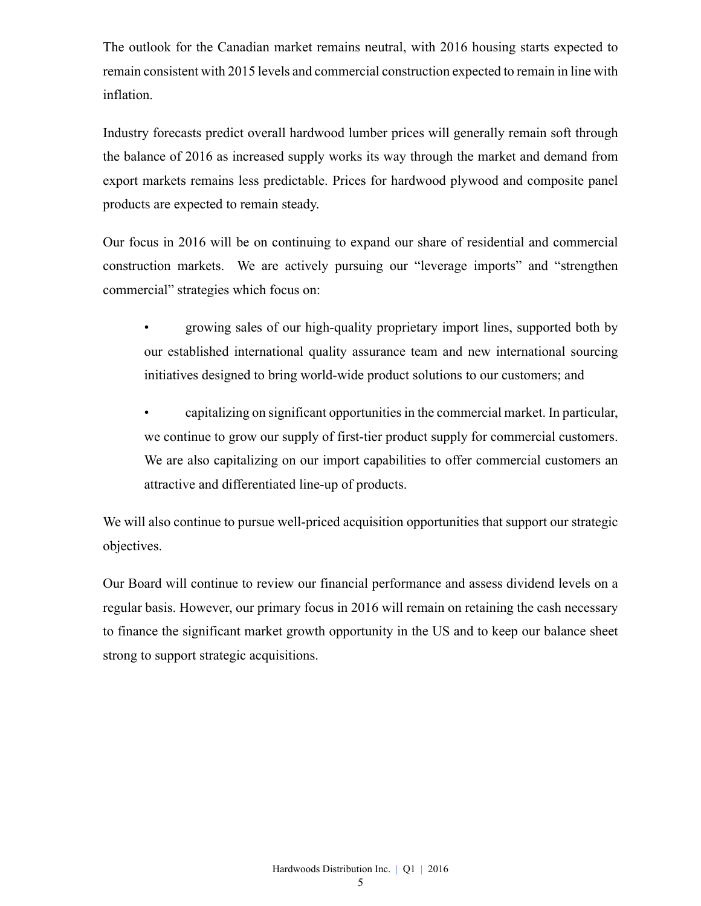The outlook for the Canadian market remains neutral, with 2016 housing starts expected to remain consistent with 2015 levels and commercial construction expected to remain in line with inflation.

Industry forecasts predict overall hardwood lumber prices will generally remain soft through the balance of 2016 as increased supply works its way through the market and demand from export markets remains less predictable. Prices for hardwood plywood and composite panel products are expected to remain steady.

Our focus in 2016 will be on continuing to expand our share of residential and commercial construction markets. We are actively pursuing our "leverage imports" and "strengthen commercial" strategies which focus on:

- growing sales of our high-quality proprietary import lines, supported both by our established international quality assurance team and new international sourcing initiatives designed to bring world-wide product solutions to our customers; and
- capitalizing on significant opportunities in the commercial market. In particular, we continue to grow our supply of first-tier product supply for commercial customers. We are also capitalizing on our import capabilities to offer commercial customers an attractive and differentiated line-up of products.

We will also continue to pursue well-priced acquisition opportunities that support our strategic objectives.

Our Board will continue to review our financial performance and assess dividend levels on a regular basis. However, our primary focus in 2016 will remain on retaining the cash necessary to finance the significant market growth opportunity in the US and to keep our balance sheet strong to support strategic acquisitions.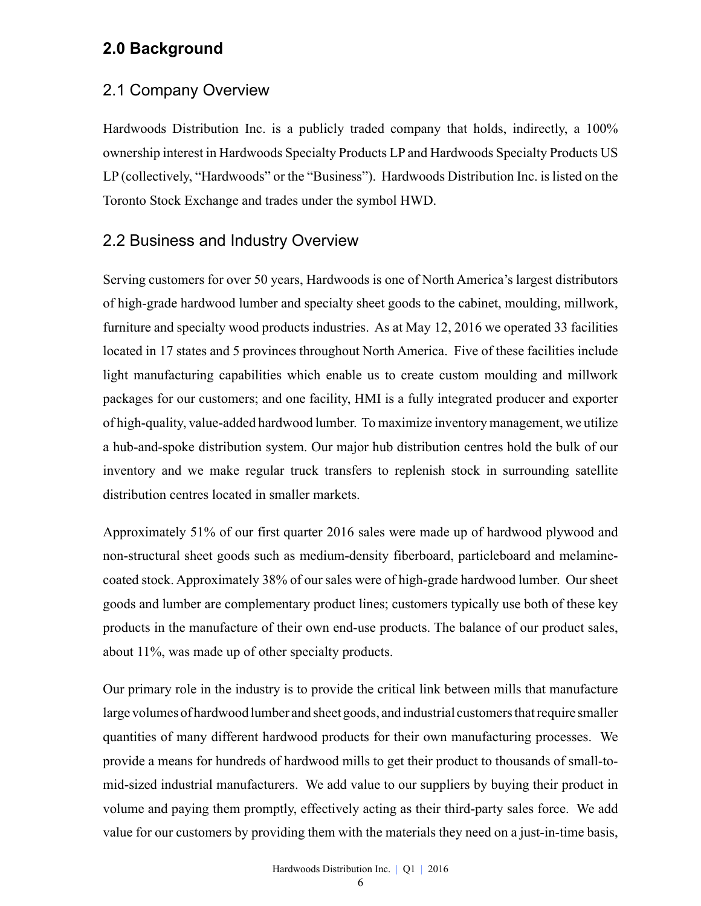## **2.0 Background**

### 2.1 Company Overview

Hardwoods Distribution Inc. is a publicly traded company that holds, indirectly, a 100% ownership interest in Hardwoods Specialty Products LP and Hardwoods Specialty Products US LP (collectively, "Hardwoods" or the "Business"). Hardwoods Distribution Inc. is listed on the Toronto Stock Exchange and trades under the symbol HWD.

### 2.2 Business and Industry Overview

Serving customers for over 50 years, Hardwoods is one of North America's largest distributors of high-grade hardwood lumber and specialty sheet goods to the cabinet, moulding, millwork, furniture and specialty wood products industries. As at May 12, 2016 we operated 33 facilities located in 17 states and 5 provinces throughout North America. Five of these facilities include light manufacturing capabilities which enable us to create custom moulding and millwork packages for our customers; and one facility, HMI is a fully integrated producer and exporter of high-quality, value-added hardwood lumber. To maximize inventory management, we utilize a hub-and-spoke distribution system. Our major hub distribution centres hold the bulk of our inventory and we make regular truck transfers to replenish stock in surrounding satellite distribution centres located in smaller markets.

Approximately 51% of our first quarter 2016 sales were made up of hardwood plywood and non-structural sheet goods such as medium-density fiberboard, particleboard and melaminecoated stock. Approximately 38% of our sales were of high-grade hardwood lumber. Our sheet goods and lumber are complementary product lines; customers typically use both of these key products in the manufacture of their own end-use products. The balance of our product sales, about 11%, was made up of other specialty products.

Our primary role in the industry is to provide the critical link between mills that manufacture large volumes of hardwood lumber and sheet goods, and industrial customers that require smaller quantities of many different hardwood products for their own manufacturing processes. We provide a means for hundreds of hardwood mills to get their product to thousands of small-tomid-sized industrial manufacturers. We add value to our suppliers by buying their product in volume and paying them promptly, effectively acting as their third-party sales force. We add value for our customers by providing them with the materials they need on a just-in-time basis,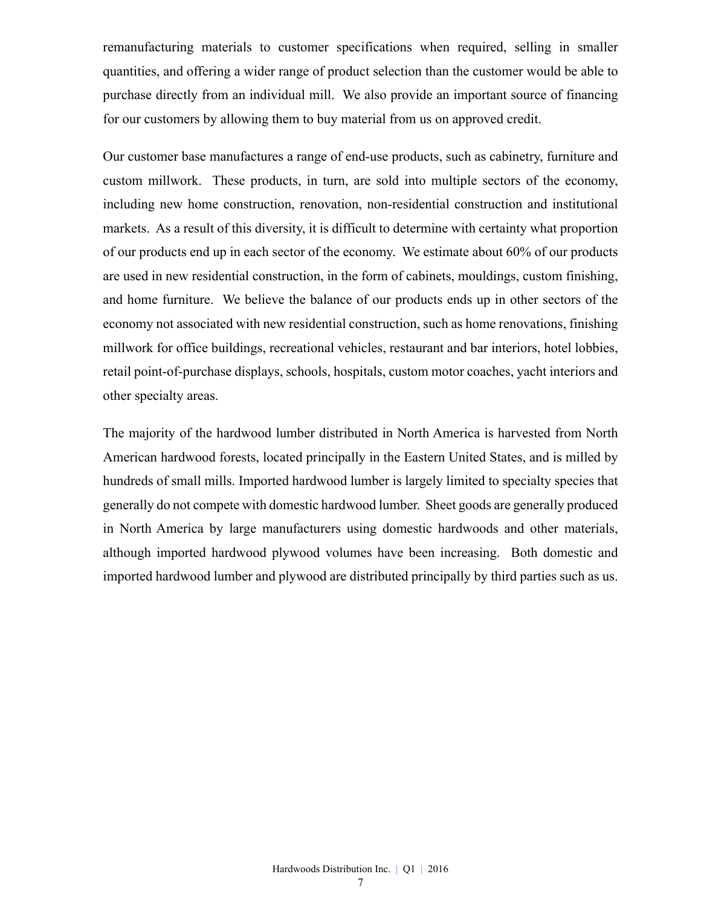remanufacturing materials to customer specifications when required, selling in smaller quantities, and offering a wider range of product selection than the customer would be able to purchase directly from an individual mill. We also provide an important source of financing for our customers by allowing them to buy material from us on approved credit.

Our customer base manufactures a range of end-use products, such as cabinetry, furniture and custom millwork. These products, in turn, are sold into multiple sectors of the economy, including new home construction, renovation, non-residential construction and institutional markets. As a result of this diversity, it is difficult to determine with certainty what proportion of our products end up in each sector of the economy. We estimate about 60% of our products are used in new residential construction, in the form of cabinets, mouldings, custom finishing, and home furniture. We believe the balance of our products ends up in other sectors of the economy not associated with new residential construction, such as home renovations, finishing millwork for office buildings, recreational vehicles, restaurant and bar interiors, hotel lobbies, retail point-of-purchase displays, schools, hospitals, custom motor coaches, yacht interiors and other specialty areas.

The majority of the hardwood lumber distributed in North America is harvested from North American hardwood forests, located principally in the Eastern United States, and is milled by hundreds of small mills. Imported hardwood lumber is largely limited to specialty species that generally do not compete with domestic hardwood lumber. Sheet goods are generally produced in North America by large manufacturers using domestic hardwoods and other materials, although imported hardwood plywood volumes have been increasing. Both domestic and imported hardwood lumber and plywood are distributed principally by third parties such as us.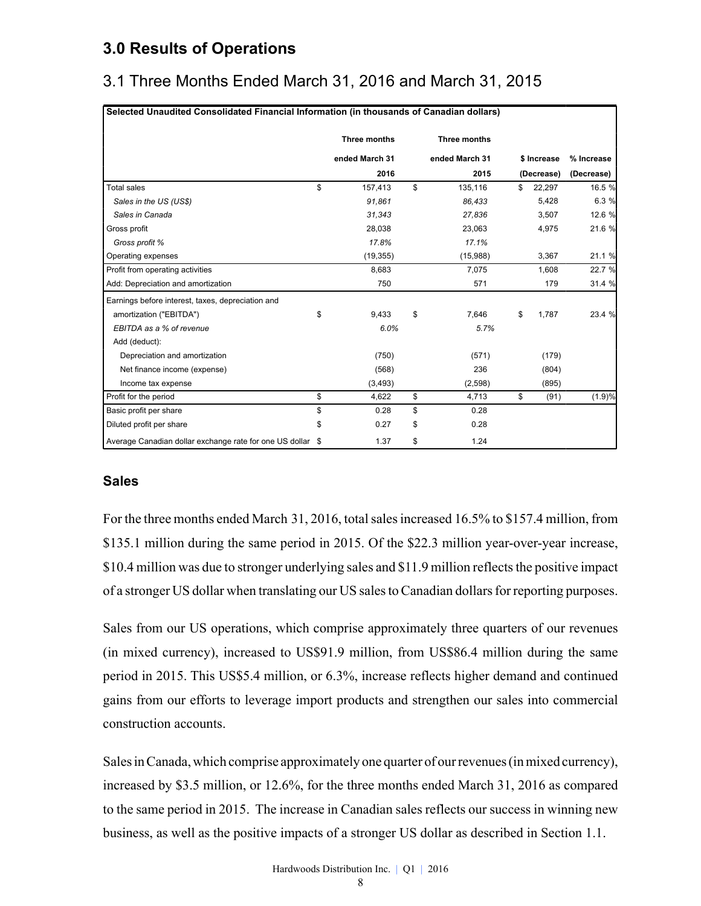# **3.0 Results of Operations**

# 3.1 Three Months Ended March 31, 2016 and March 31, 2015

|                                                            | Three months   | Three months   |              |            |
|------------------------------------------------------------|----------------|----------------|--------------|------------|
|                                                            | ended March 31 | ended March 31 | \$ Increase  | % Increase |
|                                                            | 2016           | 2015           | (Decrease)   | (Decrease) |
| Total sales                                                | \$<br>157,413  | \$<br>135,116  | \$<br>22,297 | 16.5 %     |
| Sales in the US (US\$)                                     | 91,861         | 86,433         | 5,428        | 6.3 %      |
| Sales in Canada                                            | 31,343         | 27,836         | 3,507        | 12.6 %     |
| Gross profit                                               | 28.038         | 23.063         | 4,975        | 21.6 %     |
| Gross profit %                                             | 17.8%          | 17.1%          |              |            |
| Operating expenses                                         | (19, 355)      | (15,988)       | 3,367        | 21.1 %     |
| Profit from operating activities                           | 8,683          | 7,075          | 1,608        | 22.7 %     |
| Add: Depreciation and amortization                         | 750            | 571            | 179          | 31.4 %     |
| Earnings before interest, taxes, depreciation and          |                |                |              |            |
| amortization ("EBITDA")                                    | \$<br>9,433    | \$<br>7.646    | \$<br>1,787  | 23.4 %     |
| EBITDA as a % of revenue                                   | 6.0%           | 5.7%           |              |            |
| Add (deduct):                                              |                |                |              |            |
| Depreciation and amortization                              | (750)          | (571)          | (179)        |            |
| Net finance income (expense)                               | (568)          | 236            | (804)        |            |
| Income tax expense                                         | (3, 493)       | (2,598)        | (895)        |            |
| Profit for the period                                      | \$<br>4,622    | \$<br>4,713    | \$<br>(91)   | (1.9)%     |
| Basic profit per share                                     | \$<br>0.28     | \$<br>0.28     |              |            |
| Diluted profit per share                                   | \$<br>0.27     | \$<br>0.28     |              |            |
| Average Canadian dollar exchange rate for one US dollar \$ | 1.37           | \$<br>1.24     |              |            |

#### **Sales**

For the three months ended March 31, 2016, total sales increased 16.5% to \$157.4 million, from \$135.1 million during the same period in 2015. Of the \$22.3 million year-over-year increase, \$10.4 million was due to stronger underlying sales and \$11.9 million reflects the positive impact of a stronger US dollar when translating our US sales to Canadian dollars for reporting purposes.

Sales from our US operations, which comprise approximately three quarters of our revenues (in mixed currency), increased to US\$91.9 million, from US\$86.4 million during the same period in 2015. This US\$5.4 million, or 6.3%, increase reflects higher demand and continued gains from our efforts to leverage import products and strengthen our sales into commercial construction accounts.

Sales in Canada, which comprise approximately one quarter of our revenues (in mixed currency), increased by \$3.5 million, or 12.6%, for the three months ended March 31, 2016 as compared to the same period in 2015. The increase in Canadian sales reflects our success in winning new business, as well as the positive impacts of a stronger US dollar as described in Section 1.1.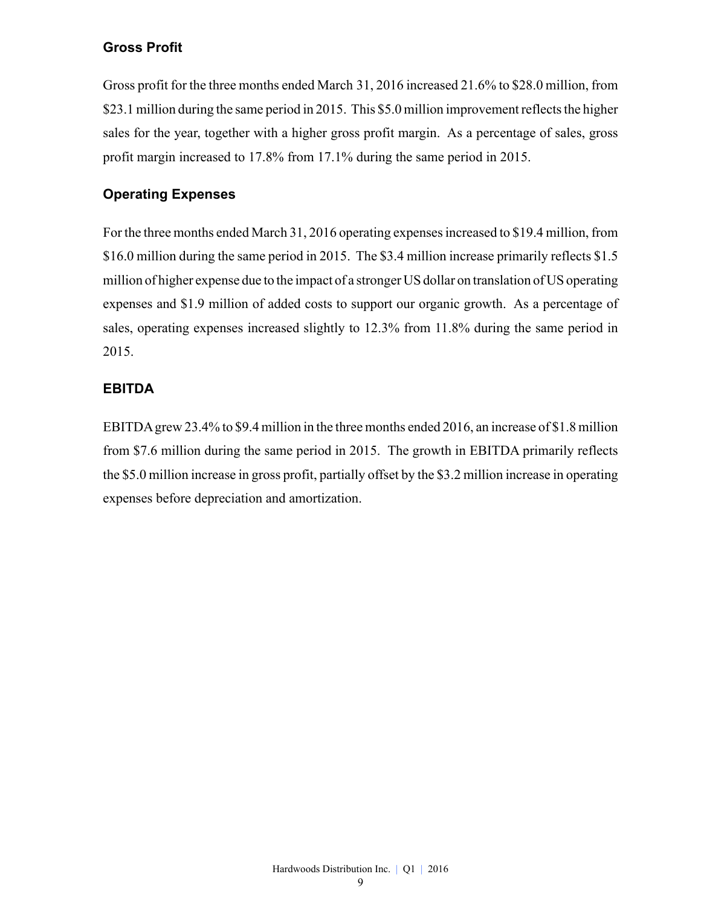#### **Gross Profit**

Gross profit for the three months ended March 31, 2016 increased 21.6% to \$28.0 million, from \$23.1 million during the same period in 2015. This \$5.0 million improvement reflects the higher sales for the year, together with a higher gross profit margin. As a percentage of sales, gross profit margin increased to 17.8% from 17.1% during the same period in 2015.

#### **Operating Expenses**

For the three months ended March 31, 2016 operating expenses increased to \$19.4 million, from \$16.0 million during the same period in 2015. The \$3.4 million increase primarily reflects \$1.5 million of higher expense due to the impact of a stronger US dollar on translation of US operating expenses and \$1.9 million of added costs to support our organic growth. As a percentage of sales, operating expenses increased slightly to 12.3% from 11.8% during the same period in 2015.

#### **EBITDA**

EBITDAgrew 23.4% to \$9.4 million in the three months ended 2016, an increase of \$1.8 million from \$7.6 million during the same period in 2015. The growth in EBITDA primarily reflects the \$5.0 million increase in gross profit, partially offset by the \$3.2 million increase in operating expenses before depreciation and amortization.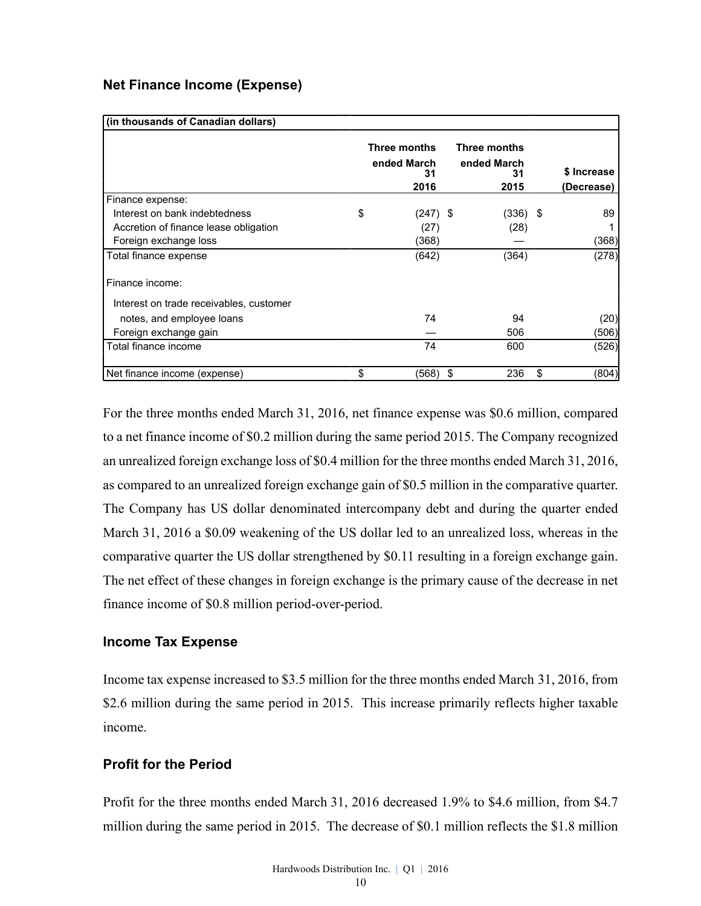#### **Net Finance Income (Expense)**

| (in thousands of Canadian dollars)      |                                           |                                           |             |
|-----------------------------------------|-------------------------------------------|-------------------------------------------|-------------|
|                                         | Three months<br>ended March<br>31<br>2016 | Three months<br>ended March<br>31<br>2015 | \$ Increase |
| Finance expense:                        |                                           |                                           | (Decrease)  |
| Interest on bank indebtedness           | \$<br>$(247)$ \$                          | (336) \$                                  | 89          |
| Accretion of finance lease obligation   | (27)                                      | (28)                                      |             |
| Foreign exchange loss                   | (368)                                     |                                           | (368)       |
| Total finance expense                   | (642)                                     | (364)                                     | (278)       |
| Finance income:                         |                                           |                                           |             |
| Interest on trade receivables, customer |                                           |                                           |             |
| notes, and employee loans               | 74                                        | 94                                        | (20)        |
| Foreign exchange gain                   |                                           | 506                                       | (506)       |
| Total finance income                    | 74                                        | 600                                       | (526)       |
| Net finance income (expense)            | \$<br>(568).                              | 236<br>\$                                 | \$<br>(804) |

For the three months ended March 31, 2016, net finance expense was \$0.6 million, compared to a net finance income of \$0.2 million during the same period 2015. The Company recognized an unrealized foreign exchange loss of \$0.4 million for the three months ended March 31, 2016, as compared to an unrealized foreign exchange gain of \$0.5 million in the comparative quarter. The Company has US dollar denominated intercompany debt and during the quarter ended March 31, 2016 a \$0.09 weakening of the US dollar led to an unrealized loss, whereas in the comparative quarter the US dollar strengthened by \$0.11 resulting in a foreign exchange gain. The net effect of these changes in foreign exchange is the primary cause of the decrease in net finance income of \$0.8 million period-over-period.

#### **Income Tax Expense**

Income tax expense increased to \$3.5 million for the three months ended March 31, 2016, from \$2.6 million during the same period in 2015. This increase primarily reflects higher taxable income.

#### **Profit for the Period**

Profit for the three months ended March 31, 2016 decreased 1.9% to \$4.6 million, from \$4.7 million during the same period in 2015. The decrease of \$0.1 million reflects the \$1.8 million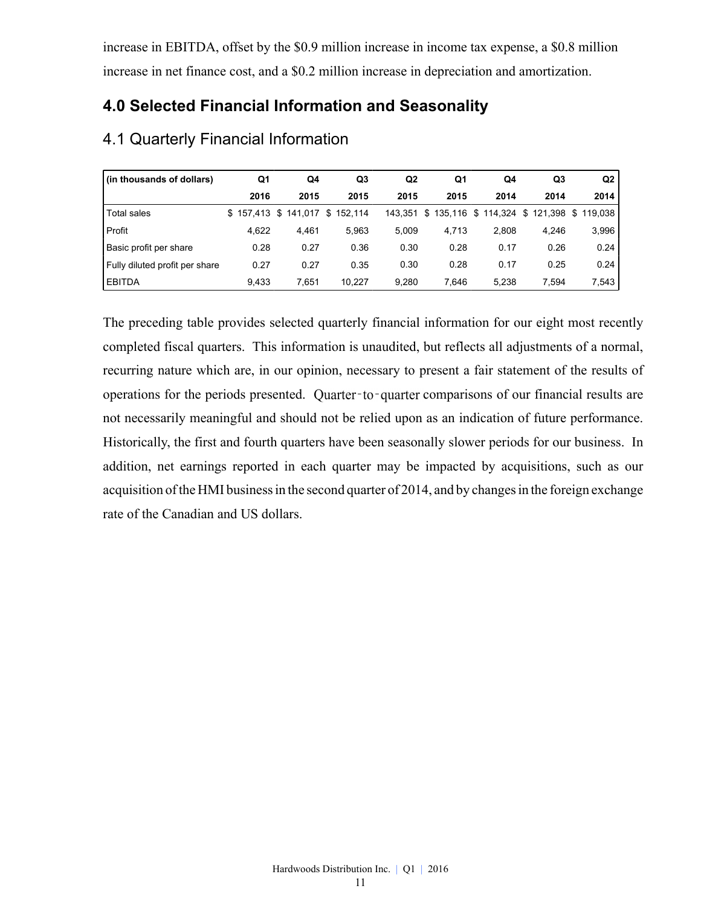increase in EBITDA, offset by the \$0.9 million increase in income tax expense, a \$0.8 million increase in net finance cost, and a \$0.2 million increase in depreciation and amortization.

# **4.0 Selected Financial Information and Seasonality**

| (in thousands of dollars)      | Q1    | Q4                  | Q3        | Q2    | Q1    | Q4                            | Q <sub>3</sub> | Q <sub>2</sub> |
|--------------------------------|-------|---------------------|-----------|-------|-------|-------------------------------|----------------|----------------|
|                                | 2016  | 2015                | 2015      | 2015  | 2015  | 2014                          | 2014           | 2014           |
| <b>Total sales</b>             |       | \$157.413 \$141.017 | \$152.114 |       |       | 143,351 \$ 135,116 \$ 114,324 | \$121,398      | \$119.038      |
| Profit                         | 4.622 | 4.461               | 5.963     | 5.009 | 4.713 | 2.808                         | 4.246          | 3,996          |
| Basic profit per share         | 0.28  | 0.27                | 0.36      | 0.30  | 0.28  | 0.17                          | 0.26           | 0.24           |
| Fully diluted profit per share | 0.27  | 0.27                | 0.35      | 0.30  | 0.28  | 0.17                          | 0.25           | 0.24           |
| <b>EBITDA</b>                  | 9.433 | 7.651               | 10.227    | 9,280 | 7.646 | 5.238                         | 7.594          | 7,543          |

### 4.1 Quarterly Financial Information

The preceding table provides selected quarterly financial information for our eight most recently completed fiscal quarters. This information is unaudited, but reflects all adjustments of a normal, recurring nature which are, in our opinion, necessary to present a fair statement of the results of operations for the periods presented. Quarter-to-quarter comparisons of our financial results are not necessarily meaningful and should not be relied upon as an indication of future performance. Historically, the first and fourth quarters have been seasonally slower periods for our business. In addition, net earnings reported in each quarter may be impacted by acquisitions, such as our acquisition of the HMI business in the second quarter of 2014, and by changes in the foreign exchange rate of the Canadian and US dollars.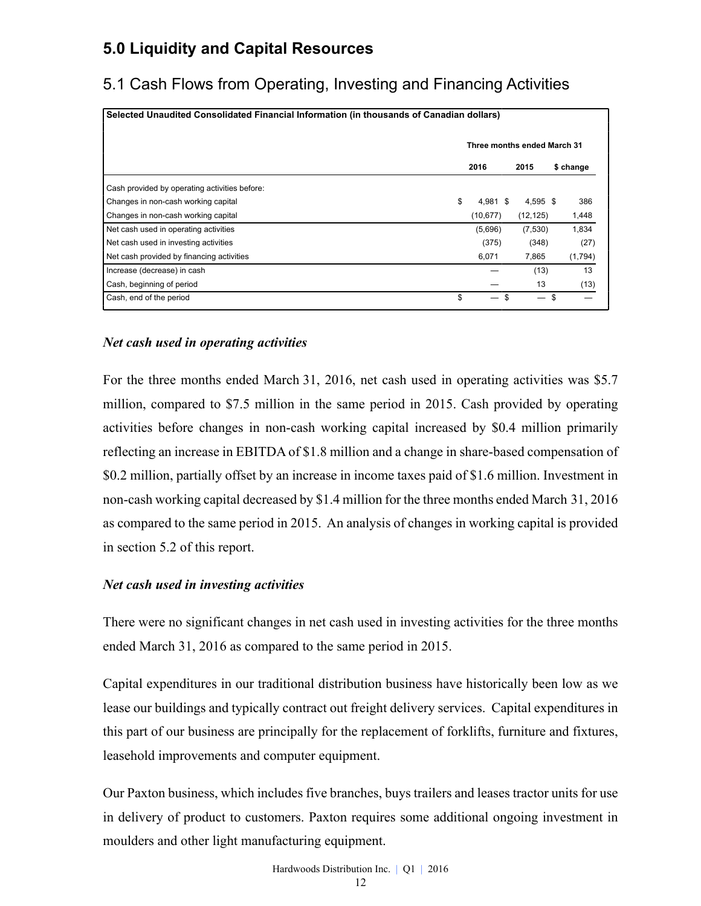# **5.0 Liquidity and Capital Resources**

# 5.1 Cash Flows from Operating, Investing and Financing Activities

| Selected Unaudited Consolidated Financial Information (in thousands of Canadian dollars) |    |                             |    |           |    |           |  |  |  |
|------------------------------------------------------------------------------------------|----|-----------------------------|----|-----------|----|-----------|--|--|--|
|                                                                                          |    | Three months ended March 31 |    |           |    |           |  |  |  |
|                                                                                          |    | 2016                        |    | 2015      |    | \$ change |  |  |  |
| Cash provided by operating activities before:                                            |    |                             |    |           |    |           |  |  |  |
| Changes in non-cash working capital                                                      | \$ | 4.981 \$                    |    | 4,595 \$  |    | 386       |  |  |  |
| Changes in non-cash working capital                                                      |    | (10, 677)                   |    | (12, 125) |    | 1,448     |  |  |  |
| Net cash used in operating activities                                                    |    | (5,696)                     |    | (7,530)   |    | 1,834     |  |  |  |
| Net cash used in investing activities                                                    |    | (375)                       |    | (348)     |    | (27)      |  |  |  |
| Net cash provided by financing activities                                                |    | 6,071                       |    | 7,865     |    | (1,794)   |  |  |  |
| Increase (decrease) in cash                                                              |    |                             |    | (13)      |    | 13        |  |  |  |
| Cash, beginning of period                                                                |    |                             |    | 13        |    | (13)      |  |  |  |
| Cash, end of the period                                                                  | \$ |                             | \$ |           | \$ |           |  |  |  |

#### *Net cash used in operating activities*

For the three months ended March 31, 2016, net cash used in operating activities was \$5.7 million, compared to \$7.5 million in the same period in 2015. Cash provided by operating activities before changes in non-cash working capital increased by \$0.4 million primarily reflecting an increase in EBITDA of \$1.8 million and a change in share-based compensation of \$0.2 million, partially offset by an increase in income taxes paid of \$1.6 million. Investment in non-cash working capital decreased by \$1.4 million for the three months ended March 31, 2016 as compared to the same period in 2015. An analysis of changes in working capital is provided in section 5.2 of this report.

#### *Net cash used in investing activities*

There were no significant changes in net cash used in investing activities for the three months ended March 31, 2016 as compared to the same period in 2015.

Capital expenditures in our traditional distribution business have historically been low as we lease our buildings and typically contract out freight delivery services. Capital expenditures in this part of our business are principally for the replacement of forklifts, furniture and fixtures, leasehold improvements and computer equipment.

Our Paxton business, which includes five branches, buys trailers and leases tractor units for use in delivery of product to customers. Paxton requires some additional ongoing investment in moulders and other light manufacturing equipment.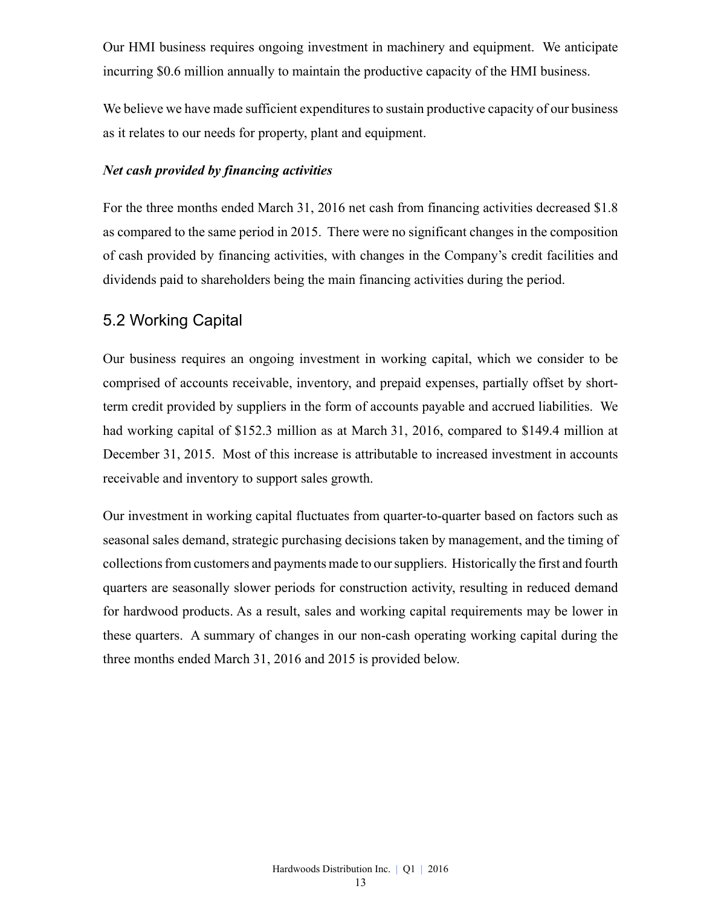Our HMI business requires ongoing investment in machinery and equipment. We anticipate incurring \$0.6 million annually to maintain the productive capacity of the HMI business.

We believe we have made sufficient expenditures to sustain productive capacity of our business as it relates to our needs for property, plant and equipment.

#### *Net cash provided by financing activities*

For the three months ended March 31, 2016 net cash from financing activities decreased \$1.8 as compared to the same period in 2015. There were no significant changes in the composition of cash provided by financing activities, with changes in the Company's credit facilities and dividends paid to shareholders being the main financing activities during the period.

### 5.2 Working Capital

Our business requires an ongoing investment in working capital, which we consider to be comprised of accounts receivable, inventory, and prepaid expenses, partially offset by shortterm credit provided by suppliers in the form of accounts payable and accrued liabilities. We had working capital of \$152.3 million as at March 31, 2016, compared to \$149.4 million at December 31, 2015. Most of this increase is attributable to increased investment in accounts receivable and inventory to support sales growth.

Our investment in working capital fluctuates from quarter-to-quarter based on factors such as seasonal sales demand, strategic purchasing decisions taken by management, and the timing of collections from customers and payments made to our suppliers. Historically the first and fourth quarters are seasonally slower periods for construction activity, resulting in reduced demand for hardwood products. As a result, sales and working capital requirements may be lower in these quarters. A summary of changes in our non-cash operating working capital during the three months ended March 31, 2016 and 2015 is provided below.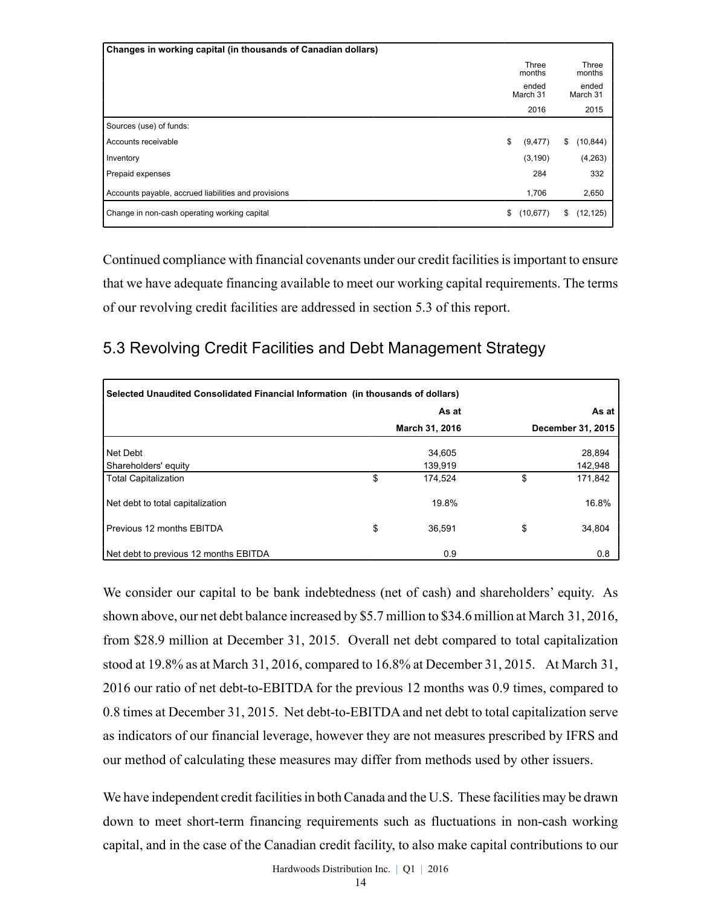| Changes in working capital (in thousands of Canadian dollars) |                   |                   |
|---------------------------------------------------------------|-------------------|-------------------|
|                                                               | Three<br>months   | Three<br>months   |
|                                                               | ended<br>March 31 | ended<br>March 31 |
|                                                               | 2016              | 2015              |
| Sources (use) of funds:                                       |                   |                   |
| Accounts receivable                                           | \$<br>(9, 477)    | \$<br>(10, 844)   |
| Inventory                                                     | (3, 190)          | (4,263)           |
| Prepaid expenses                                              | 284               | 332               |
| Accounts payable, accrued liabilities and provisions          | 1,706             | 2,650             |
| Change in non-cash operating working capital                  | \$<br>(10, 677)   | \$<br>(12, 125)   |

Continued compliance with financial covenants under our credit facilities is important to ensure that we have adequate financing available to meet our working capital requirements. The terms of our revolving credit facilities are addressed in section 5.3 of this report.

# 5.3 Revolving Credit Facilities and Debt Management Strategy

| Selected Unaudited Consolidated Financial Information (in thousands of dollars) |    |                |    |                   |  |  |  |  |  |
|---------------------------------------------------------------------------------|----|----------------|----|-------------------|--|--|--|--|--|
|                                                                                 |    | As at          |    | As at             |  |  |  |  |  |
|                                                                                 |    | March 31, 2016 |    | December 31, 2015 |  |  |  |  |  |
| Net Debt                                                                        |    | 34.605         |    | 28,894            |  |  |  |  |  |
| Shareholders' equity                                                            |    | 139,919        |    | 142,948           |  |  |  |  |  |
| <b>Total Capitalization</b>                                                     | \$ | 174.524        | \$ | 171,842           |  |  |  |  |  |
| Net debt to total capitalization                                                |    | 19.8%          |    | 16.8%             |  |  |  |  |  |
| Previous 12 months EBITDA                                                       | \$ | 36.591         | \$ | 34,804            |  |  |  |  |  |
| Net debt to previous 12 months EBITDA                                           |    | 0.9            |    | 0.8               |  |  |  |  |  |

We consider our capital to be bank indebtedness (net of cash) and shareholders' equity. As shown above, our net debt balance increased by \$5.7 million to \$34.6 million at March 31, 2016, from \$28.9 million at December 31, 2015. Overall net debt compared to total capitalization stood at 19.8% as at March 31, 2016, compared to 16.8% at December 31, 2015. At March 31, 2016 our ratio of net debt-to-EBITDA for the previous 12 months was 0.9 times, compared to 0.8 times at December 31, 2015. Net debt-to-EBITDA and net debt to total capitalization serve as indicators of our financial leverage, however they are not measures prescribed by IFRS and our method of calculating these measures may differ from methods used by other issuers.

We have independent credit facilities in both Canada and the U.S. These facilities may be drawn down to meet short-term financing requirements such as fluctuations in non-cash working capital, and in the case of the Canadian credit facility, to also make capital contributions to our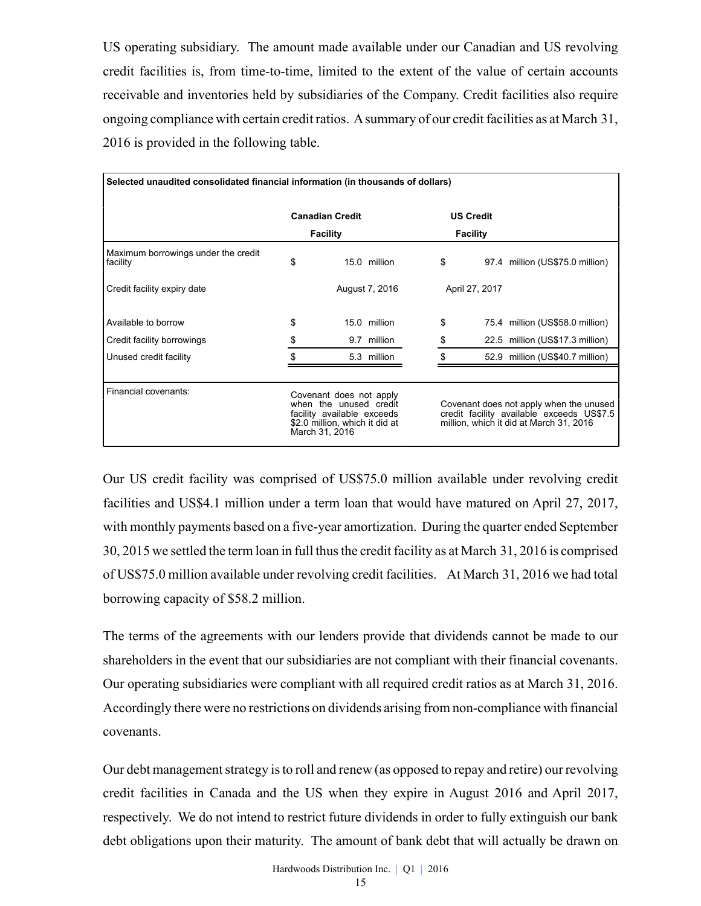US operating subsidiary. The amount made available under our Canadian and US revolving credit facilities is, from time-to-time, limited to the extent of the value of certain accounts receivable and inventories held by subsidiaries of the Company. Credit facilities also require ongoing compliance with certain credit ratios. Asummary of our credit facilities as at March 31, 2016 is provided in the following table.

| Selected unaudited consolidated financial information (in thousands of dollars) |                                                                                                                                     |                        |                |  |                  |  |                                                                                                                                 |  |  |
|---------------------------------------------------------------------------------|-------------------------------------------------------------------------------------------------------------------------------------|------------------------|----------------|--|------------------|--|---------------------------------------------------------------------------------------------------------------------------------|--|--|
|                                                                                 |                                                                                                                                     | <b>Canadian Credit</b> |                |  | <b>US Credit</b> |  |                                                                                                                                 |  |  |
|                                                                                 |                                                                                                                                     | <b>Facility</b>        |                |  | <b>Facility</b>  |  |                                                                                                                                 |  |  |
| Maximum borrowings under the credit<br>facility                                 | \$                                                                                                                                  |                        | 15.0 million   |  | \$               |  | 97.4 million (US\$75.0 million)                                                                                                 |  |  |
| Credit facility expiry date                                                     |                                                                                                                                     |                        | August 7, 2016 |  | April 27, 2017   |  |                                                                                                                                 |  |  |
| Available to borrow                                                             | \$                                                                                                                                  |                        | 15.0 million   |  | \$               |  | 75.4 million (US\$58.0 million)                                                                                                 |  |  |
| Credit facility borrowings                                                      | \$                                                                                                                                  |                        | 9.7 million    |  | \$               |  | 22.5 million (US\$17.3 million)                                                                                                 |  |  |
| Unused credit facility                                                          |                                                                                                                                     |                        | 5.3 million    |  | \$.              |  | 52.9 million (US\$40.7 million)                                                                                                 |  |  |
|                                                                                 |                                                                                                                                     |                        |                |  |                  |  |                                                                                                                                 |  |  |
| Financial covenants:                                                            | Covenant does not apply<br>when the unused credit<br>facility available exceeds<br>\$2.0 million, which it did at<br>March 31, 2016 |                        |                |  |                  |  | Covenant does not apply when the unused<br>credit facility available exceeds US\$7.5<br>million, which it did at March 31, 2016 |  |  |

Our US credit facility was comprised of US\$75.0 million available under revolving credit facilities and US\$4.1 million under a term loan that would have matured on April 27, 2017, with monthly payments based on a five-year amortization. During the quarter ended September 30, 2015 we settled the term loan in full thus the credit facility as at March 31, 2016 is comprised of US\$75.0 million available under revolving credit facilities. At March 31, 2016 we had total borrowing capacity of \$58.2 million.

The terms of the agreements with our lenders provide that dividends cannot be made to our shareholders in the event that our subsidiaries are not compliant with their financial covenants. Our operating subsidiaries were compliant with all required credit ratios as at March 31, 2016. Accordingly there were no restrictions on dividends arising from non-compliance with financial covenants.

Our debt management strategy is to roll and renew (as opposed to repay and retire) our revolving credit facilities in Canada and the US when they expire in August 2016 and April 2017, respectively. We do not intend to restrict future dividends in order to fully extinguish our bank debt obligations upon their maturity. The amount of bank debt that will actually be drawn on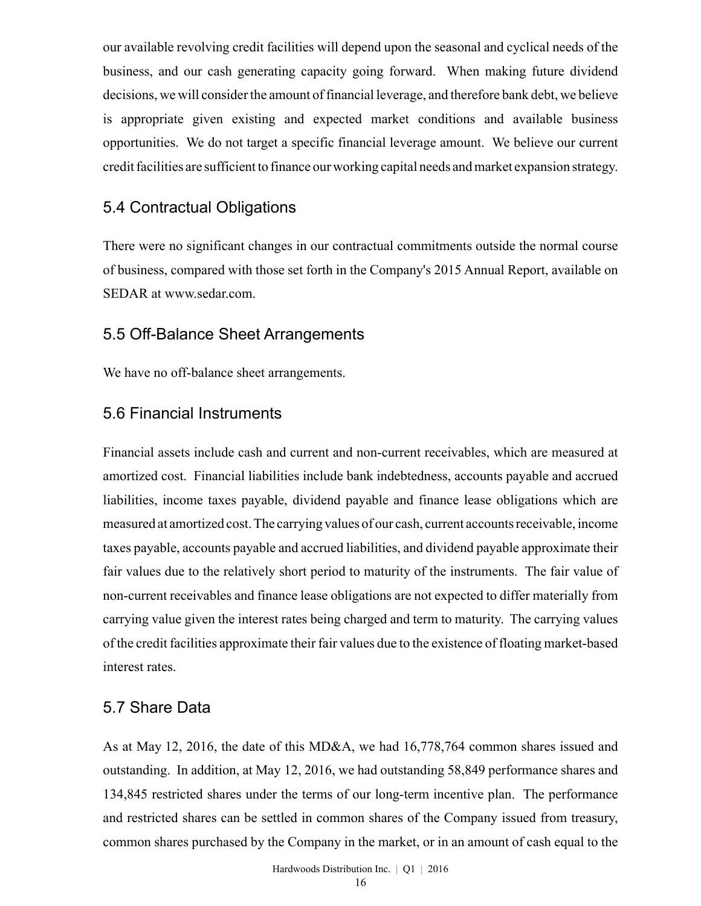our available revolving credit facilities will depend upon the seasonal and cyclical needs of the business, and our cash generating capacity going forward. When making future dividend decisions, we will consider the amount of financial leverage, and therefore bank debt, we believe is appropriate given existing and expected market conditions and available business opportunities. We do not target a specific financial leverage amount. We believe our current credit facilities are sufficient to finance our working capital needs and market expansion strategy.

### 5.4 Contractual Obligations

There were no significant changes in our contractual commitments outside the normal course of business, compared with those set forth in the Company's 2015 Annual Report, available on SEDAR at www.sedar.com.

#### 5.5 Off-Balance Sheet Arrangements

We have no off-balance sheet arrangements.

### 5.6 Financial Instruments

Financial assets include cash and current and non-current receivables, which are measured at amortized cost. Financial liabilities include bank indebtedness, accounts payable and accrued liabilities, income taxes payable, dividend payable and finance lease obligations which are measured at amortized cost. The carrying values of our cash, current accounts receivable, income taxes payable, accounts payable and accrued liabilities, and dividend payable approximate their fair values due to the relatively short period to maturity of the instruments. The fair value of non-current receivables and finance lease obligations are not expected to differ materially from carrying value given the interest rates being charged and term to maturity. The carrying values of the credit facilities approximate their fair values due to the existence of floating market-based interest rates.

### 5.7 Share Data

As at May 12, 2016, the date of this MD&A, we had 16,778,764 common shares issued and outstanding. In addition, at May 12, 2016, we had outstanding 58,849 performance shares and 134,845 restricted shares under the terms of our long-term incentive plan. The performance and restricted shares can be settled in common shares of the Company issued from treasury, common shares purchased by the Company in the market, or in an amount of cash equal to the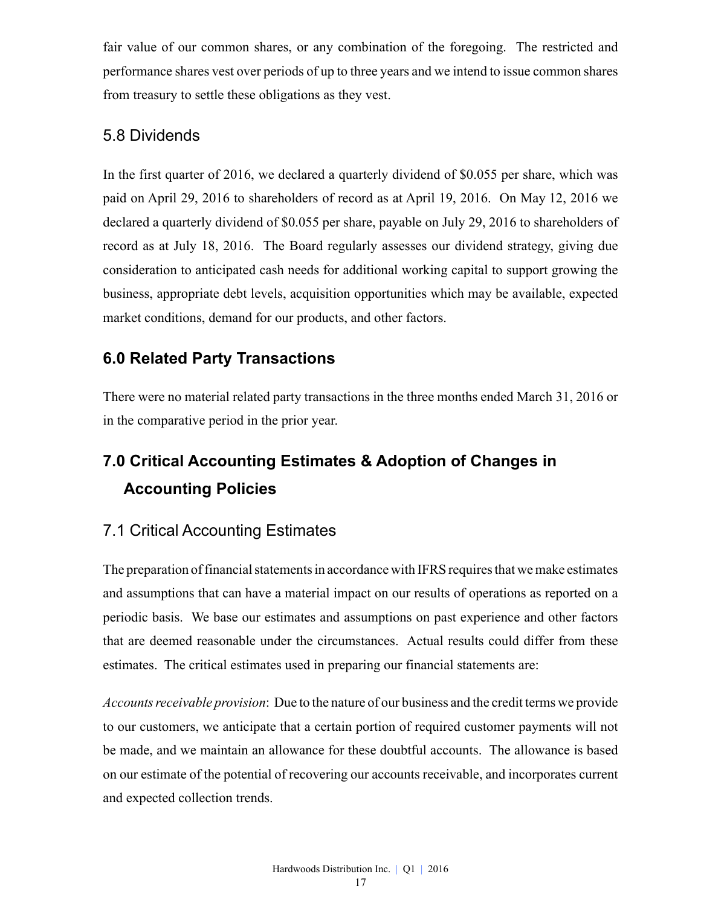fair value of our common shares, or any combination of the foregoing. The restricted and performance shares vest over periods of up to three years and we intend to issue common shares from treasury to settle these obligations as they vest.

### 5.8 Dividends

In the first quarter of 2016, we declared a quarterly dividend of \$0.055 per share, which was paid on April 29, 2016 to shareholders of record as at April 19, 2016. On May 12, 2016 we declared a quarterly dividend of \$0.055 per share, payable on July 29, 2016 to shareholders of record as at July 18, 2016. The Board regularly assesses our dividend strategy, giving due consideration to anticipated cash needs for additional working capital to support growing the business, appropriate debt levels, acquisition opportunities which may be available, expected market conditions, demand for our products, and other factors.

# **6.0 Related Party Transactions**

There were no material related party transactions in the three months ended March 31, 2016 or in the comparative period in the prior year.

# **7.0 Critical Accounting Estimates & Adoption of Changes in Accounting Policies**

# 7.1 Critical Accounting Estimates

The preparation of financial statements in accordance with IFRS requires that we make estimates and assumptions that can have a material impact on our results of operations as reported on a periodic basis. We base our estimates and assumptions on past experience and other factors that are deemed reasonable under the circumstances. Actual results could differ from these estimates. The critical estimates used in preparing our financial statements are:

*Accounts receivable provision*: Due to the nature of our business and the credit terms we provide to our customers, we anticipate that a certain portion of required customer payments will not be made, and we maintain an allowance for these doubtful accounts. The allowance is based on our estimate of the potential of recovering our accounts receivable, and incorporates current and expected collection trends.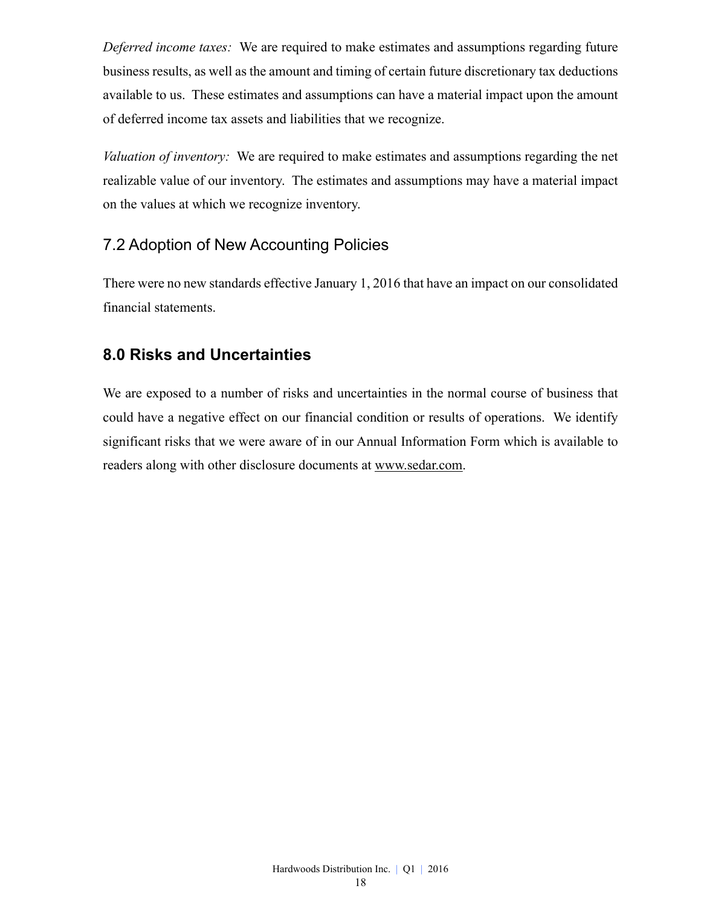*Deferred income taxes:* We are required to make estimates and assumptions regarding future business results, as well as the amount and timing of certain future discretionary tax deductions available to us. These estimates and assumptions can have a material impact upon the amount of deferred income tax assets and liabilities that we recognize.

*Valuation of inventory:* We are required to make estimates and assumptions regarding the net realizable value of our inventory. The estimates and assumptions may have a material impact on the values at which we recognize inventory.

# 7.2 Adoption of New Accounting Policies

There were no new standards effective January 1, 2016 that have an impact on our consolidated financial statements.

# **8.0 Risks and Uncertainties**

We are exposed to a number of risks and uncertainties in the normal course of business that could have a negative effect on our financial condition or results of operations. We identify significant risks that we were aware of in our Annual Information Form which is available to readers along with other disclosure documents at www.sedar.com.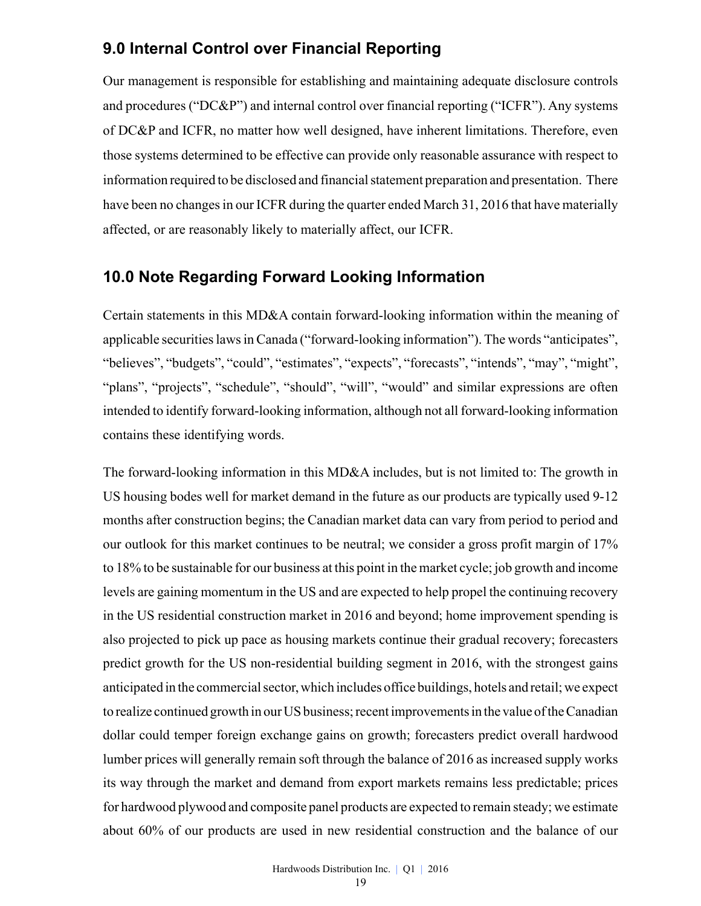# **9.0 Internal Control over Financial Reporting**

Our management is responsible for establishing and maintaining adequate disclosure controls and procedures ("DC&P") and internal control over financial reporting ("ICFR"). Any systems of DC&P and ICFR, no matter how well designed, have inherent limitations. Therefore, even those systems determined to be effective can provide only reasonable assurance with respect to information required to be disclosed and financial statement preparation and presentation. There have been no changes in our ICFR during the quarter ended March 31, 2016 that have materially affected, or are reasonably likely to materially affect, our ICFR.

### **10.0 Note Regarding Forward Looking Information**

Certain statements in this MD&A contain forward-looking information within the meaning of applicable securities laws in Canada ("forward-looking information"). The words "anticipates", "believes", "budgets", "could", "estimates", "expects", "forecasts", "intends", "may", "might", "plans", "projects", "schedule", "should", "will", "would" and similar expressions are often intended to identify forward-looking information, although not all forward-looking information contains these identifying words.

The forward-looking information in this MD&A includes, but is not limited to: The growth in US housing bodes well for market demand in the future as our products are typically used 9-12 months after construction begins; the Canadian market data can vary from period to period and our outlook for this market continues to be neutral; we consider a gross profit margin of 17% to 18% to be sustainable for our business at this point in the market cycle; job growth and income levels are gaining momentum in the US and are expected to help propel the continuing recovery in the US residential construction market in 2016 and beyond; home improvement spending is also projected to pick up pace as housing markets continue their gradual recovery; forecasters predict growth for the US non-residential building segment in 2016, with the strongest gains anticipated in the commercial sector, which includes office buildings, hotels and retail; we expect to realize continued growth in our US business; recent improvements in the value of the Canadian dollar could temper foreign exchange gains on growth; forecasters predict overall hardwood lumber prices will generally remain soft through the balance of 2016 as increased supply works its way through the market and demand from export markets remains less predictable; prices for hardwood plywood and composite panel products are expected to remain steady; we estimate about 60% of our products are used in new residential construction and the balance of our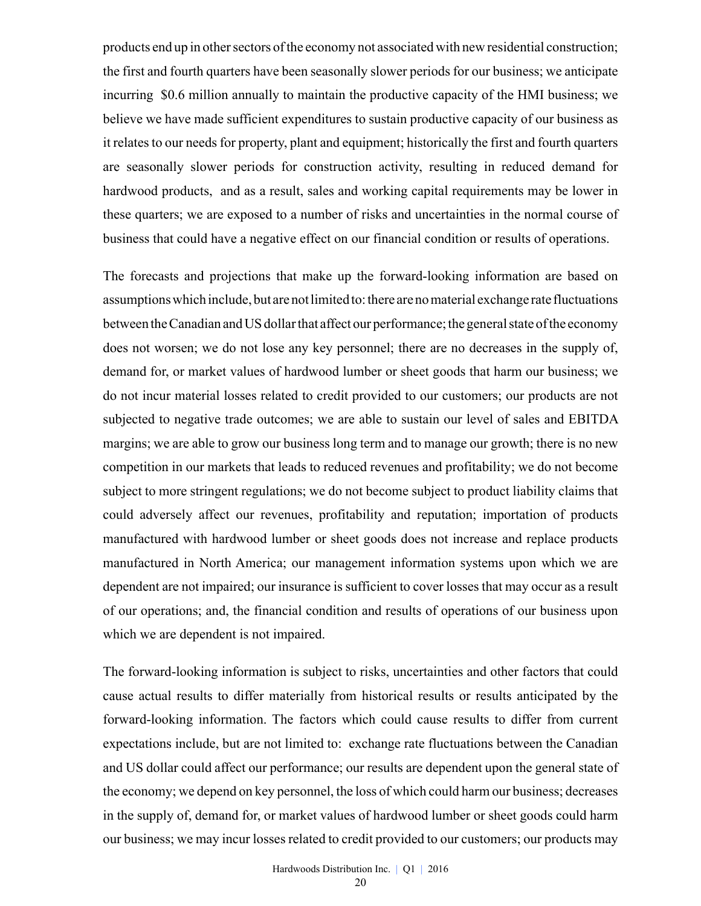products end up in other sectors of the economy not associated with new residential construction; the first and fourth quarters have been seasonally slower periods for our business; we anticipate incurring \$0.6 million annually to maintain the productive capacity of the HMI business; we believe we have made sufficient expenditures to sustain productive capacity of our business as it relates to our needs for property, plant and equipment; historically the first and fourth quarters are seasonally slower periods for construction activity, resulting in reduced demand for hardwood products, and as a result, sales and working capital requirements may be lower in these quarters; we are exposed to a number of risks and uncertainties in the normal course of business that could have a negative effect on our financial condition or results of operations.

The forecasts and projections that make up the forward-looking information are based on assumptions which include, but are not limited to: there are no material exchange rate fluctuations between the Canadian and US dollar that affect our performance; the general state of the economy does not worsen; we do not lose any key personnel; there are no decreases in the supply of, demand for, or market values of hardwood lumber or sheet goods that harm our business; we do not incur material losses related to credit provided to our customers; our products are not subjected to negative trade outcomes; we are able to sustain our level of sales and EBITDA margins; we are able to grow our business long term and to manage our growth; there is no new competition in our markets that leads to reduced revenues and profitability; we do not become subject to more stringent regulations; we do not become subject to product liability claims that could adversely affect our revenues, profitability and reputation; importation of products manufactured with hardwood lumber or sheet goods does not increase and replace products manufactured in North America; our management information systems upon which we are dependent are not impaired; our insurance is sufficient to cover losses that may occur as a result of our operations; and, the financial condition and results of operations of our business upon which we are dependent is not impaired.

The forward-looking information is subject to risks, uncertainties and other factors that could cause actual results to differ materially from historical results or results anticipated by the forward-looking information. The factors which could cause results to differ from current expectations include, but are not limited to: exchange rate fluctuations between the Canadian and US dollar could affect our performance; our results are dependent upon the general state of the economy; we depend on key personnel, the loss of which could harm our business; decreases in the supply of, demand for, or market values of hardwood lumber or sheet goods could harm our business; we may incur losses related to credit provided to our customers; our products may